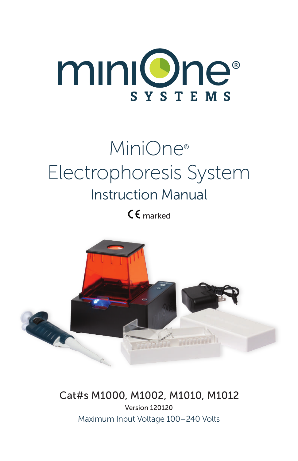

# MiniOne® Electrophoresis System Instruction Manual

 $CE$  marked



### Cat#s M1000, M1002, M1010, M1012

Maximum Input Voltage 100–240 Volts Version 120120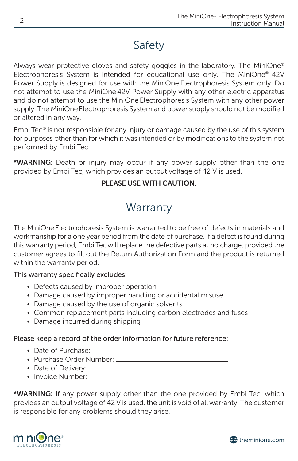### Safety

Always wear protective gloves and safety goggles in the laboratory. The MiniOne® Electrophoresis System is intended for educational use only. The MiniOne® 42V Power Supply is designed for use with the MiniOne Electrophoresis System only. Do not attempt to use the MiniOne 42V Power Supply with any other electric apparatus and do not attempt to use the MiniOne Electrophoresis System with any other power supply. The MiniOneElectrophoresis System and power supply should not be modified or altered in any way.

Embi Tec® is not responsible for any injury or damage caused by the use of this system for purposes other than for which it was intended or by modifications to the system not performed by Embi Tec.

\*WARNING: Death or injury may occur if any power supply other than the one provided by Embi Tec, which provides an output voltage of 42 V is used.

#### PLEASE USE WITH CAUTION.

### **Warranty**

The MiniOne Electrophoresis System is warranted to be free of defects in materials and workmanship for a one year period from the date of purchase. If a defect is found during this warranty period, Embi Tecwill replace the defective parts at no charge, provided the customer agrees to fill out the Return Authorization Form and the product is returned within the warranty period.

#### This warranty specifically excludes:

- Defects caused by improper operation
- Damage caused by improper handling or accidental misuse
- Damage caused by the use of organic solvents
- Common replacement parts including carbon electrodes and fuses
- Damage incurred during shipping

#### Please keep a record of the order information for future reference:

- Date of Purchase: \_\_\_\_\_
- • Purchase Order Number:
- • Date of Delivery:
- Invoice Number:

 $\frac{1}{T}$ provides an output voltage of 42 V is used, the unit is void of all warranty. The customer \*WARNING: If any power supply other than the one provided by Embi Tec, which is responsible for any problems should they arise.



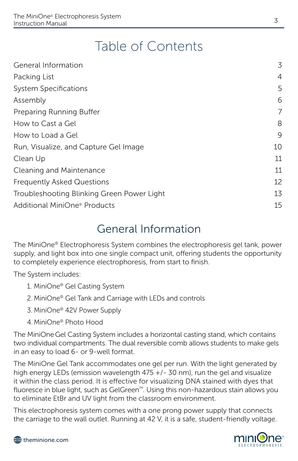## Table of Contents

| General Information                        | 3              |
|--------------------------------------------|----------------|
| Packing List                               | $\overline{4}$ |
| <b>System Specifications</b>               | 5              |
| Assembly                                   | 6              |
| Preparing Running Buffer                   | 7              |
| How to Cast a Gel                          | 8              |
| How to Load a Gel                          | 9              |
| Run, Visualize, and Capture Gel Image      | 10             |
| Clean Up                                   | 11             |
| Cleaning and Maintenance                   | 11             |
| <b>Frequently Asked Questions</b>          | 12             |
| Troubleshooting Blinking Green Power Light | 13             |
| Additional MiniOne <sup>®</sup> Products   | 15             |

### General Information

The MiniOne® Electrophoresis System combines the electrophoresis gel tank, power supply, and light box into one single compact unit, offering students the opportunity to completely experience electrophoresis, from start to finish.

The System includes:

- 1. MiniOne® Gel Casting System
- 2. MiniOne® Gel Tank and Carriage with LEDs and controls
- 3. MiniOne® 42V Power Supply
- 4. MiniOne® Photo Hood

The MiniOneGel Casting System includes a horizontal casting stand, which contains two individual compartments. The dual reversible comb allows students to make gels in an easy to load 6- or 9-well format.

to eliminate EtBr and UV light from the classroom environment. The MiniOne Gel Tank accommodates one gel per run. With the light generated by high energy LEDs (emission wavelength 475 +/- 30 nm), run the gel and visualize it within the class period. It is effective for visualizing DNA stained with dyes that fluoresce in blue light, such as GelGreen™. Using this non-hazardous stain allows you

This electrophoresis system comes with a one prong power supply that connects the carriage to the wall outlet. Running at 42 V, it is a safe, student-friendly voltage.

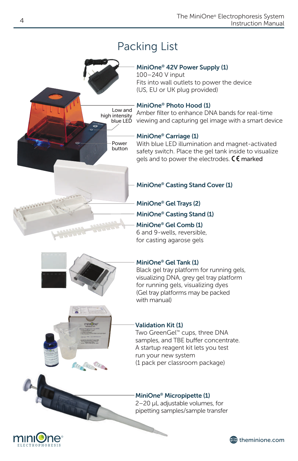### Packing List

Low and high intensity blue LED

#### MiniOne® 42V Power Supply (1)

MiniOne® Casting Stand Cover (1)

MiniOne® Casting Stand (1) MiniOne® Gel Trays (2)

MiniOne® Gel Comb (1) 6 and 9-wells, reversible, for casting agarose gels

100–240 V input Fits into wall outlets to power the device (US, EU or UK plug provided)

#### MiniOne® Photo Hood (1)

Amber filter to enhance DNA bands for real-time viewing and capturing gel image with a smart device

#### MiniOne® Carriage (1)

With blue LED illumination and magnet-activated safety switch. Place the gel tank inside to visualize gels and to power the electrodes.  $C \subset \mathbb{R}^n$  marked

#### MiniOne® Gel Tank (1)

Black gel tray platform for running gels, visualizing DNA, grey gel tray platform for running gels, visualizing dyes (Gel tray platforms may be packed with manual)

The Allis Chief

#### Validation Kit (1)

Two GreenGel™ cups, three DNA samples, and TBE buffer concentrate. A startup reagent kit lets you test run your new system (1 pack per classroom package)

#### MiniOne® Micropipette (1)

2–20 μL adjustable volumes, for pipetting samples/sample transfer







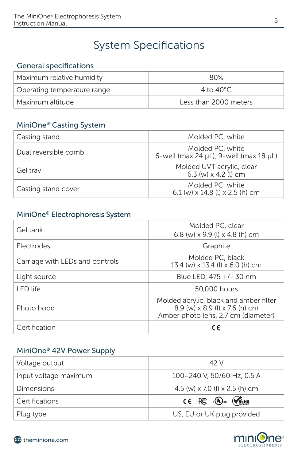### System Specifications

#### General specifications

| Maximum relative humidity   | 80%                   |
|-----------------------------|-----------------------|
| Operating temperature range | 4 to 40 $^{\circ}$ C. |
| Maximum altitude            | Less than 2000 meters |

#### MiniOne® Casting System

| Casting stand        | Molded PC, white                                                     |
|----------------------|----------------------------------------------------------------------|
| Dual reversible comb | Molded PC, white<br>6-well (max 24 $\mu$ L), 9-well (max 18 $\mu$ L) |
| Gel tray             | Molded UVT acrylic, clear<br>6.3 (w) x 4.2 (l) cm                    |
| Casting stand cover  | Molded PC, white<br>6.1 (w) $\times$ 14.8 (l) $\times$ 2.5 (h) cm    |

#### MiniOne® Electrophoresis System

| Gel tank                        | Molded PC, clear<br>6.8 (w) x 9.9 (l) x 4.8 (h) cm                                                              |
|---------------------------------|-----------------------------------------------------------------------------------------------------------------|
| Electrodes                      | Graphite                                                                                                        |
| Carriage with LEDs and controls | Molded PC, black<br>13.4 (w) x 13.4 (l) x 6.0 (h) cm                                                            |
| Light source                    | Blue LED, 475 +/- 30 nm                                                                                         |
| LED life                        | 50,000 hours                                                                                                    |
| Photo hood                      | Molded acrylic, black and amber filter<br>8.9 (w) x 8.9 (l) x 7.6 (h) cm<br>Amber photo lens, 2.7 cm (diameter) |
| Certification                   | C€                                                                                                              |

### MiniOne® 42V Power Supply

| Voltage output        | 42 V                                                                         |
|-----------------------|------------------------------------------------------------------------------|
| Input voltage maximum | 100-240 V, 50/60 Hz, 0.5 A                                                   |
| <b>Dimensions</b>     | 4.5 (w) $\times$ 7.0 (l) $\times$ 2.5 (h) cm                                 |
| Certifications        | $C \in \mathbb{FC}$ $\mathbb{CD}$ <sub>us</sub> $\mathbb{C}$ <sub>Roms</sub> |
| Plug type             | US, EU or UK plug provided                                                   |

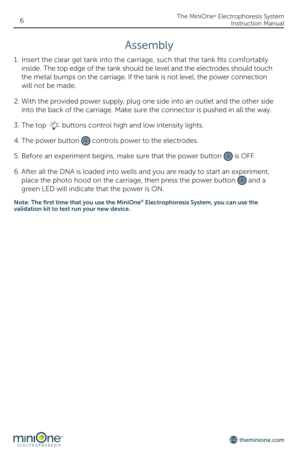### Assembly

- 1. Insert the clear gel tank into the carriage, such that the tank fits comfortably inside. The top edge of the tank should be level and the electrodes should touch the metal bumps on the carriage. If the tank is not level, the power connection will not be made.
- 2. With the provided power supply, plug one side into an outlet and the other side into the back of the carriage. Make sure the connector is pushed in all the way.
- 3. The top  $\frac{1}{2}$  buttons control high and low intensity lights.
- 4. The power button  $\circled{0}$  controls power to the electrodes.
- 5. Before an experiment begins, make sure that the power button  $\circled{0}$  is OFF.
- 6. After all the DNA is loaded into wells and you are ready to start an experiment, place the photo hood on the carriage, then press the power button  $\circledcirc$  and a green LED will indicate that the power is ON.

Note: The first time that you use the MiniOne® Electrophoresis System, you can use the validation kit to test run your new device.



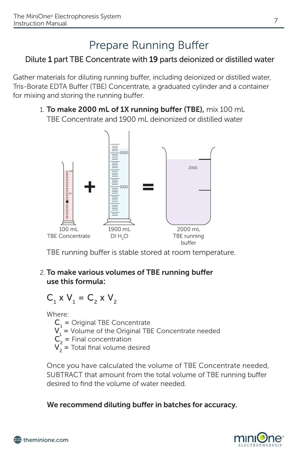### Prepare Running Buffer

### Dilute 1 part TBE Concentrate with 19 parts deionized or distilled water

Gather materials for diluting running buffer, including deionized or distilled water, Tris-Borate EDTA Buffer (TBE) Concentrate, a graduated cylinder and a container for mixing and storing the running buffer.

> 1. To make 2000 mL of 1X running buffer (TBE), mix 100 mL TBE Concentrate and 1900 mL deinonized or distilled water



TBE running buffer is stable stored at room temperature.

#### 2. To make various volumes of TBE running buffer use this formula:

$$
C_1 \times V_1 = C_2 \times V_2
$$

Where:

- $C_1$  = Original TBE Concentrate
	- $V_1$  = Volume of the Original TBE Concentrate needed
	- $C_2$  = Final concentration
	- $V_2$  = Total final volume desired

 Once you have calculated the volume of TBE Concentrate needed, SUBTRACT that amount from the total volume of TBE running buffer desired to find the volume of water needed.

#### We recommend diluting buffer in batches for accuracy.

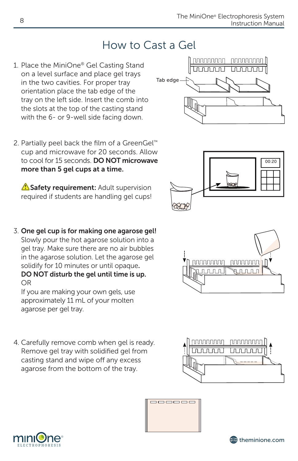### How to Cast a Gel

- 1. Place the MiniOne® Gel Casting Stand on a level surface and place gel trays in the two cavities. For proper tray orientation place the tab edge of the tray on the left side. Insert the comb into the slots at the top of the casting stand with the 6- or 9-well side facing down.
- 2. Partially peel back the film of a GreenGel™ cup and microwave for 20 seconds. Allow to cool for 15 seconds. **DO NOT microwave** more than 5 gel cups at a time.

Safety requirement: Adult supervision required if students are handling gel cups!

3. One gel cup is for making one agarose gel! Slowly pour the hot agarose solution into a gel tray. Make sure there are no air bubbles in the agarose solution. Let the agarose gel solidify for 10 minutes or until opaque. DO NOT disturb the gel until time is up. OR

 If you are making your own gels, use approximately 11 mL of your molten agarose per gel tray.

4. Carefully remove comb when gel is ready. Remove gel tray with solidified gel from casting stand and wipe off any excess agarose from the bottom of the tray.













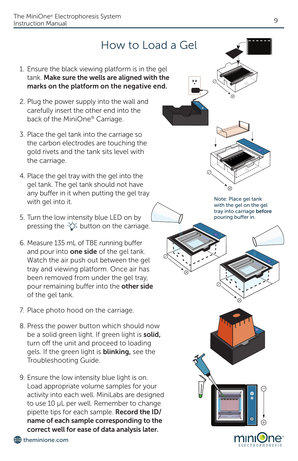### How to Load a Gel

- 1. Ensure the black viewing platform is in the gel tank. Make sure the wells are aligned with the marks on the platform on the negative end.
- 2. Plug the power supply into the wall and carefully insert the other end into the back of the MiniOne® Carriage.
- 3. Place the gel tank into the carriage so the carbon electrodes are touching the gold rivets and the tank sits level with the carriage.
- 4. Place the gel tray with the gel into the gel tank. The gel tank should not have any buffer in it when putting the gel tray with gel into it.
- 5. Turn the low intensity blue LED on by pressing the  $\dot{\circ}$  button on the carriage.
- 6. Measure 135 mL of TBE running buffer and pour into **one side** of the gel tank. Watch the air push out between the gel tray and viewing platform. Once air has been removed from under the gel tray, pour remaining buffer into the other side of the gel tank.
- 7. Place photo hood on the carriage.
- 8. Press the power button which should now be a solid green light. If green light is solid, turn off the unit and proceed to loading gels. If the green light is **blinking**, see the Troubleshooting Guide.
- $\frac{1}{2}$  according the computatione. The minimizary arc designed  $\frac{1}{2}$ to use 10 μL per well. Remember to change.  $\blacksquare$ 9. Ensure the low intensity blue light is on. Load appropriate volume samples for your activity into each well. MiniLabs are designed pipette tips for each sample. Record the ID/ name of each sample corresponding to the correct well for ease of data analysis later.



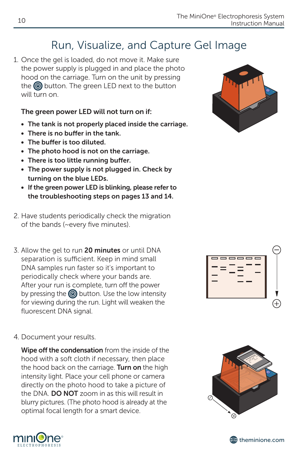### Run, Visualize, and Capture Gel Image

1. Once the gel is loaded, do not move it. Make sure the power supply is plugged in and place the photo hood on the carriage. Turn on the unit by pressing the  $\circledcirc$  button. The green LED next to the button will turn on.

#### The green power LED will not turn on if:

- The tank is not properly placed inside the carriage.
- There is no buffer in the tank.
- • The buffer is too diluted.
- The photo hood is not on the carriage.
- There is too little running buffer.
- The power supply is not plugged in. Check by turning on the blue LEDs.
- If the green power LED is blinking, please refer to the troubleshooting steps on pages 13 and 14.
- 2. Have students periodically check the migration of the bands (~every five minutes).
- 3. Allow the gel to run 20 minutes or until DNA separation is sufficient. Keep in mind small DNA samples run faster so it's important to periodically check where your bands are. After your run is complete, turn off the power by pressing the  $\circledcirc$  button. Use the low intensity for viewing during the run. Light will weaken the fluorescent DNA signal.



4. Document your results.

Wipe off the condensation from the inside of the hood with a soft cloth if necessary, then place the hood back on the carriage. Turn on the high intensity light. Place your cell phone or camera directly on the photo hood to take a picture of the DNA. **DO NOT** zoom in as this will result in blurry pictures. (The photo hood is already at the optimal focal length for a smart device.





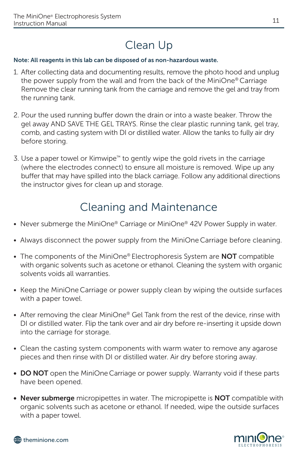### Clean Up

#### Note: All reagents in this lab can be disposed of as non-hazardous waste.

- 1. After collecting data and documenting results, remove the photo hood and unplug the power supply from the wall and from the back of the MiniOne® Carriage Remove the clear running tank from the carriage and remove the gel and tray from the running tank.
- 2. Pour the used running buffer down the drain or into a waste beaker. Throw the gel away AND SAVE THE GEL TRAYS. Rinse the clear plastic running tank, gel tray, comb, and casting system with DI or distilled water. Allow the tanks to fully air dry before storing.
- 3. Use a paper towel or Kimwipe™ to gently wipe the gold rivets in the carriage (where the electrodes connect) to ensure all moisture is removed. Wipe up any buffer that may have spilled into the black carriage. Follow any additional directions the instructor gives for clean up and storage.

### Cleaning and Maintenance

- Never submerge the MiniOne® Carriage or MiniOne® 42V Power Supply in water.
- Always disconnect the power supply from the MiniOne Carriage before cleaning.
- The components of the MiniOne® Electrophoresis System are NOT compatible with organic solvents such as acetone or ethanol. Cleaning the system with organic solvents voids all warranties.
- Keep the MiniOne Carriage or power supply clean by wiping the outside surfaces with a paper towel.
- After removing the clear MiniOne® Gel Tank from the rest of the device, rinse with DI or distilled water. Flip the tank over and air dry before re-inserting it upside down into the carriage for storage.
- Clean the casting system components with warm water to remove any agarose pieces and then rinse with DI or distilled water. Air dry before storing away.
- DO NOT open the MiniOne Carriage or power supply. Warranty void if these parts have been opened.
- Never submerge micropipettes in water. The micropipette is NOT compatible with organic solvents such as acetone or ethanol. If needed, wipe the outside surfaces with a paper towel.



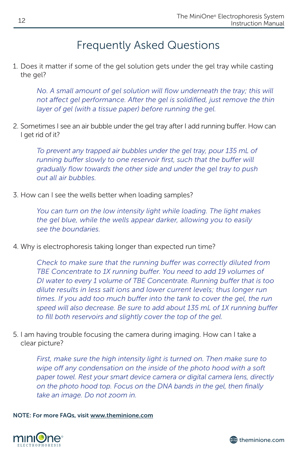### Frequently Asked Questions

1. Does it matter if some of the gel solution gets under the gel tray while casting the gel?

*No. A small amount of gel solution will flow underneath the tray; this will*  not affect gel performance. After the gel is solidified, just remove the thin *layer of gel (with a tissue paper) before running the gel.*

2. Sometimes I see an air bubble under the gel tray after I add running buffer. How can I get rid of it?

*To prevent any trapped air bubbles under the gel tray, pour 135 mL of running buffer slowly to one reservoir first, such that the buffer will gradually flow towards the other side and under the gel tray to push out all air bubbles.* 

3. How can I see the wells better when loading samples?

*You can turn on the low intensity light while loading. The light makes the gel blue, while the wells appear darker, allowing you to easily see the boundaries.*

4. Why is electrophoresis taking longer than expected run time?

*Check to make sure that the running buffer was correctly diluted from TBE Concentrate to 1X running buffer. You need to add 19 volumes of DI water to every 1 volume of TBE Concentrate. Running buffer that is too dilute results in less salt ions and lower current levels; thus longer run*  times. If you add too much buffer into the tank to cover the gel, the run *speed will also decrease. Be sure to add about 135 mL of 1X running buffer to fill both reservoirs and slightly cover the top of the gel.*

5. I am having trouble focusing the camera during imaging. How can I take a clear picture?

*First, make sure the high intensity light is turned on. Then make sure to wipe off any condensation on the inside of the photo hood with a soft paper towel. Rest your smart device camera or digital camera lens, directly on the photo hood top. Focus on the DNA bands in the gel, then finally take an image. Do not zoom in.*

NOTE: For more FAQs, visit www.theminione.com



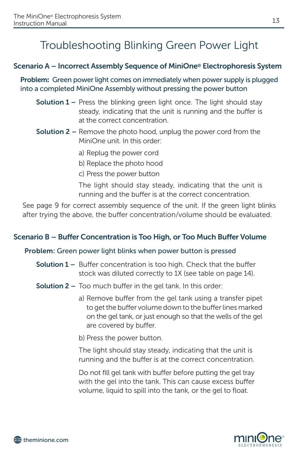### Troubleshooting Blinking Green Power Light

#### Scenario A – Incorrect Assembly Sequence of MiniOne® Electrophoresis System

Problem: Green power light comes on immediately when power supply is plugged into a completed MiniOne Assembly without pressing the power button

- **Solution 1** Press the blinking green light once. The light should stay steady, indicating that the unit is running and the buffer is at the correct concentration.
- **Solution 2 –** Remove the photo hood, unplug the power cord from the MiniOne unit. In this order:
	- a) Replug the power cord
	- b) Replace the photo hood
	- c) Press the power button

The light should stay steady, indicating that the unit is running and the buffer is at the correct concentration.

See page 9 for correct assembly sequence of the unit. If the green light blinks after trying the above, the buffer concentration/volume should be evaluated.

#### Scenario B – Buffer Concentration is Too High, or Too Much Buffer Volume

#### Problem: Green power light blinks when power button is pressed

- **Solution 1** Buffer concentration is too high. Check that the buffer stock was diluted correctly to 1X (see table on page 14).
- **Solution 2** Too much buffer in the gel tank. In this order:
	- a) Remove buffer from the gel tank using a transfer pipet to get the buffer volume down to the buffer lines marked on the gel tank, or just enough so that the wells of the gel are covered by buffer.
	- b) Press the power button.

The light should stay steady, indicating that the unit is running and the buffer is at the correct concentration.

Do not fill gel tank with buffer before putting the gel tray with the gel into the tank. This can cause excess buffer volume, liquid to spill into the tank, or the gel to float.

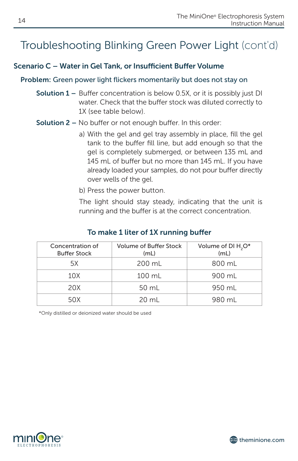### Troubleshooting Blinking Green Power Light (cont'd)

#### Scenario C – Water in Gel Tank, or Insufficient Buffer Volume

#### Problem: Green power light flickers momentarily but does not stay on

- **Solution 1 –** Buffer concentration is below 0.5X, or it is possibly just DI water. Check that the buffer stock was diluted correctly to 1X (see table below).
- Solution 2 No buffer or not enough buffer. In this order:
	- a) With the gel and gel tray assembly in place, fill the gel tank to the buffer fill line, but add enough so that the gel is completely submerged, or between 135 mL and 145 mL of buffer but no more than 145 mL. If you have already loaded your samples, do not pour buffer directly over wells of the gel.
	- b) Press the power button.

The light should stay steady, indicating that the unit is running and the buffer is at the correct concentration.

| Concentration of<br><b>Buffer Stock</b> | <b>Volume of Buffer Stock</b><br>(mL) | Volume of DI H <sub>2</sub> O*<br>(mL) |
|-----------------------------------------|---------------------------------------|----------------------------------------|
| 5X                                      | 200 mL                                | 800 mL                                 |
| 10X                                     | 100 mL                                | 900 mL                                 |
| 20X                                     | 50 mL                                 | 950 mL                                 |
| 50X                                     | 20 ml                                 | 980 mL                                 |

#### To make 1 liter of 1X running buffer

\*Only distilled or deionized water should be used



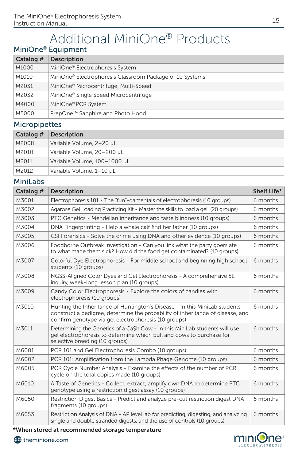## Additional MiniOne® Products

#### MiniOne® Equipment

| Catalog # | <b>Description</b>                                       |
|-----------|----------------------------------------------------------|
| M1000     | MiniOne® Electrophoresis System                          |
| M1010     | MiniOne® Electrophoresis Classroom Package of 10 Systems |
| M2031     | MiniOne <sup>®</sup> Microcentrifuge, Multi-Speed        |
| M2032     | MiniOne <sup>®</sup> Single Speed Microcentrifuge        |
| M4000     | MiniOne® PCR System                                      |
| M5000     | PrepOne™ Sapphire and Photo Hood                         |

#### Micropipettes

| Catalog # | <b>Description</b>           |
|-----------|------------------------------|
| M2008     | Variable Volume, 2-20 µL     |
| M2010     | Variable Volume, 20-200 µL   |
| M2011     | Variable Volume, 100-1000 µL |
| M2012     | Variable Volume, 1-10 µL     |

#### MiniLabs

| Catalog # | <b>Description</b>                                                                                                                                                                                                   | Shelf Life* |
|-----------|----------------------------------------------------------------------------------------------------------------------------------------------------------------------------------------------------------------------|-------------|
| M3001     | Electrophoresis 101 - The "fun"-damentals of electrophoresis (10 groups)                                                                                                                                             | 6 months    |
| M3002     | Agarose Gel Loading Practicing Kit - Master the skills to load a gel (20 groups)                                                                                                                                     | 6 months    |
| M3003     | PTC Genetics - Mendelian inheritance and taste blindness (10 groups)                                                                                                                                                 | 6 months    |
| M3004     | DNA Fingerprinting - Help a whale calf find her father (10 groups)                                                                                                                                                   | 6 months    |
| M3005     | CSI Forensics - Solve the crime using DNA and other evidence (10 groups)                                                                                                                                             | 6 months    |
| M3006     | Foodborne Outbreak Investigation - Can you link what the party goers ate<br>to what made them sick? How did the food get contaminated? (10 groups)                                                                   | 6 months    |
| M3007     | Colorful Dye Electrophoresis - For middle school and beginning high school<br>students (10 groups)                                                                                                                   | 6 months    |
| M3008     | NGSS-Aligned Color Dyes and Gel Electrophoresis - A comprehensive 5E<br>inguiry, week-long lesson plan (10 groups)                                                                                                   | 6 months    |
| M3009     | Candy Color Electrophoresis - Explore the colors of candies with<br>electrophoresis (10 groups)                                                                                                                      | 6 months    |
| M3010     | Hunting the Inheritance of Huntington's Disease - In this MiniLab students<br>construct a pedigree, determine the probability of inheritance of disease, and<br>confirm genotype via gel electrophoresis (10 groups) | 6 months    |
| M3011     | Determining the Genetics of a Ca\$h Cow - In this MiniLab students will use<br>gel electrophoresis to determine which bull and cows to purchase for<br>selective breeding (10 groups)                                | 6 months    |
| M6001     | PCR 101 and Gel Electrophoresis Combo (10 groups)                                                                                                                                                                    | 6 months    |
| M6002     | PCR 101: Amplification from the Lambda Phage Genome (10 groups)                                                                                                                                                      | 6 months    |
| M6005     | PCR Cycle Number Analysis - Examine the effects of the number of PCR<br>cycle on the total copies made (10 groups)                                                                                                   | 6 months    |
| M6010     | A Taste of Genetics - Collect, extract, amplify own DNA to determine PTC<br>genotype using a restriction digest assay (10 groups)                                                                                    | 6 months    |
| M6050     | Restriction Digest Basics - Predict and analyze pre-cut restriction digest DNA<br>fragments (10 groups)                                                                                                              | 6 months    |
| M6053     | Restriction Analysis of DNA - AP level lab for predicting, digesting, and analyzing<br>single and double stranded digests, and the use of controls (10 groups)                                                       | 6 months    |

\*When stored at recommended storage temperature